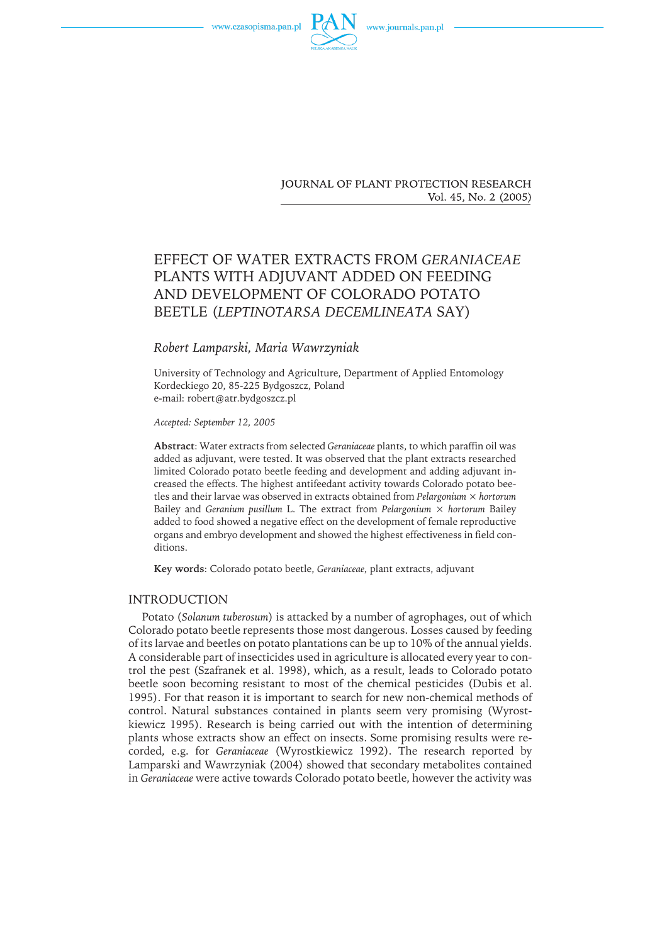



**JOURNAL OF PLANT PROTECTION RESEARCH** 

Vol. 45, No. 2 (2005)

# EFFECT OF WATER EXTRACTS FROM *GERANIACEAE* PLANTS WITH ADJUVANT ADDED ON FEEDING AND DEVELOPMENT OF COLORADO POTATO BEETLE (*LEPTINOTARSA DECEMLINEATA* SAY)

## *Robert Lamparski, Maria Wawrzyniak*

University of Technology and Agriculture, Department of Applied Entomology Kordeckiego 20, 85-225 Bydgoszcz, Poland e-mail: robert@atr.bydgoszcz.pl

*Accepted: September 12, 2005*

**Abstract**: Water extractsfrom selected *Geraniaceae* plants, to which paraffin oil was added as adjuvant, were tested. It was observed that the plant extracts researched limited Colorado potato beetle feeding and development and adding adjuvant increased the effects. The highest antifeedant activity towards Colorado potato beetles and their larvae was observed in extracts obtained from *Pelargonium × hortorum* Bailey and *Geranium pusillum* L. The extract from *Pelargonium × hortorum* Bailey added to food showed a negative effect on the development of female reproductive organs and embryo development and showed the highest effectiveness in field conditions.

**Key words**: Colorado potato beetle, *Geraniaceae*, plant extracts, adjuvant

### INTRODUCTION

Potato (Solanum tuberosum) is attacked by a number of agrophages, out of which Colorado potato beetle represents those most dangerous. Losses caused by feeding of its larvae and beetles on potato plantations can be up to 10% of the annual yields. A considerable part of insecticides used in agriculture is allocated every year to control the pest (Szafranek et al. 1998), which, as a result, leads to Colorado potato beetle soon becoming resistant to most of the chemical pesticides (Dubis et al. 1995). For that reason it is important to search for new non-chemical methods of control. Natural substances contained in plants seem very promising (Wyrostkiewicz 1995). Research is being carried out with the intention of determining plants whose extracts show an effect on insects. Some promising results were recorded, e.g. for *Geraniaceae* (Wyrostkiewicz 1992). The research reported by Lamparski and Wawrzyniak (2004) showed that secondary metabolites contained in *Geraniaceae* were active towards Colorado potato beetle, however the activity was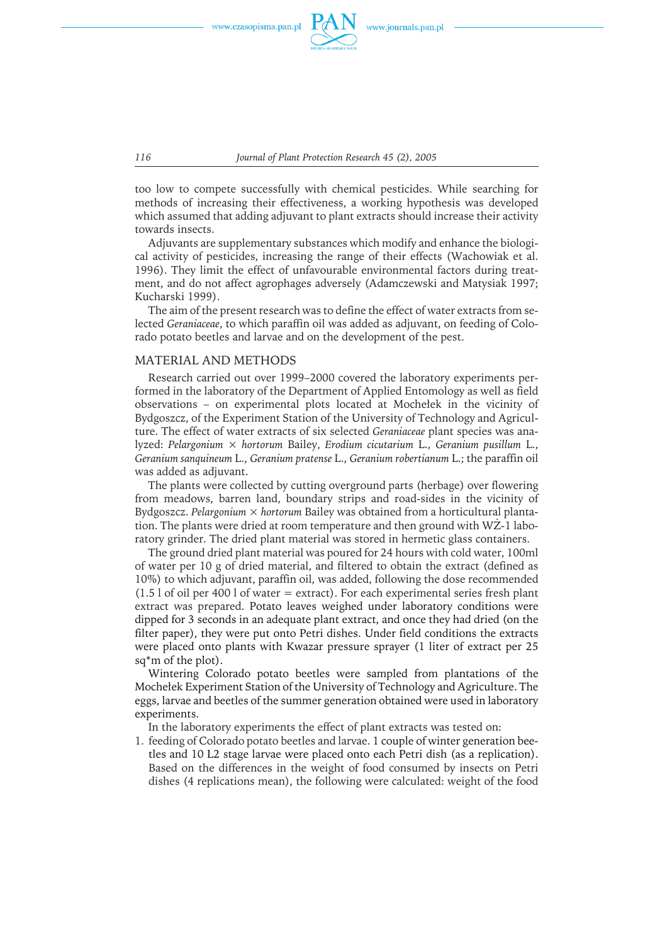

*116 Journal of Plant Protection Research 45 (2), 2005*

too low to compete successfully with chemical pesticides. While searching for methods of increasing their effectiveness, a working hypothesis was developed which assumed that adding adjuvant to plant extracts should increase their activity towards insects.

Adjuvants are supplementary substances which modify and enhance the biological activity of pesticides, increasing the range of their effects (Wachowiak et al. 1996). They limit the effect of unfavourable environmental factors during treatment, and do not affect agrophages adversely (Adamczewski and Matysiak 1997; Kucharski 1999).

The aim of the present research was to define the effect of water extracts from selected *Geraniaceae*, to which paraffin oil was added as adjuvant, on feeding of Colorado potato beetles and larvae and on the development of the pest.

#### MATERIAL AND METHODS

Research carried out over 1999–2000 covered the laboratory experiments performed in the laboratory of the Department of Applied Entomology aswell asfield observations – on experimental plots located at Mochełek in the vicinity of Bydgoszcz, of the Experiment Station of the University of Technology and Agriculture. The effect of water extracts of six selected *Geraniaceae* plant species was analyzed: *Pelargonium × hortorum* Bailey, *Erodium cicutarium* L., *Geranium pusillum* L., *Geranium sanquineum* L., *Geranium pratense* L., *Geranium robertianum* L.; the paraffin oil was added as adjuvant.

The plants were collected by cutting overground parts (herbage) over flowering from meadows, barren land, boundary strips and road-sides in the vicinity of Bydgoszcz. *Pelargonium × hortorum* Bailey wasobtained from a horticultural plantation. The plants were dried at room temperature and then ground with WZ-1 laboratory grinder. The dried plant material was stored in hermetic glass containers.

The ground dried plant material was poured for 24 hours with cold water, 100ml of water per 10 g of dried material, and filtered to obtain the extract (defined as 10%) to which adjuvant, paraffin oil, was added, following the dose recommended  $(1.5 \text{ 1 of oil per } 400 \text{ 1 of water} =$  extract). For each experimental series fresh plant extract was prepared. Potato leaves weighed under laboratory conditions were dipped for 3 seconds in an adequate plant extract, and once they had dried (on the filter paper), they were put onto Petri dishes. Under field conditions the extracts were placed onto plants with Kwazar pressure sprayer (1 liter of extract per 25 sq\*m of the plot).

Wintering Colorado potato beetles were sampled from plantations of the Mochełek Experiment Station of the University of Technology and Agriculture. The eggs, larvae and beetles of the summer generation obtained were used in laboratory experiments.

In the laboratory experiments the effect of plant extracts was tested on:

1. feeding of Colorado potato beetlesand larvae. 1 couple of winter generation beetles and 10 L2 stage larvae were placed onto each Petri dish (as a replication). Based on the differences in the weight of food consumed by insects on Petri dishes (4 replications mean), the following were calculated: weight of the food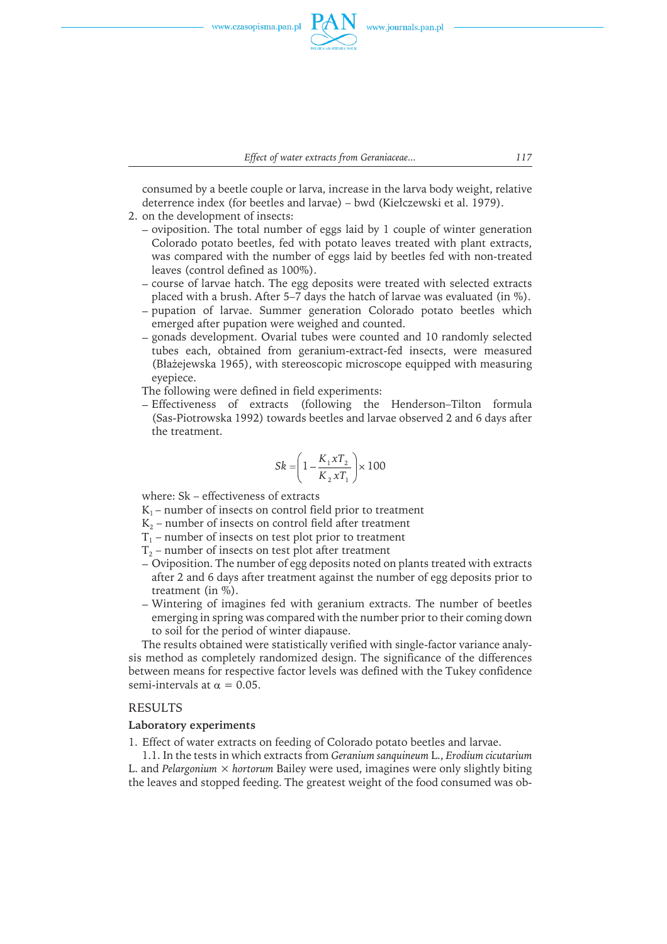

consumed by a beetle couple or larva, increase in the larva body weight, relative deterrence index (for beetles and larvae) – bwd (Kiełczewski et al. 1979).

- 2. on the development of insects:
	- $-$  oviposition. The total number of eggs laid by 1 couple of winter generation Colorado potato beetles, fed with potato leaves treated with plant extracts, was compared with the number of eggs laid by beetles fed with non-treated leaves (control defined as 100%).
	- course of larvae hatch. The egg deposits were treated with selected extracts placed with a brush. After 5–7 days the hatch of larvae was evaluated (in %).
	- pupation of larvae. Summer generation Colorado potato beetles which emerged after pupation were weighed and counted.
	- gonads development. Ovarial tubes were counted and 10 randomly selected tubes each, obtained from geranium-extract-fed insects, were measured (Błażejewska 1965), with stereoscopic microscope equipped with measuring eyepiece.

The following were defined in field experiments:

Effectiveness of extracts (following the Henderson–Tilton formula (Sas-Piotrowska 1992) towards beetles and larvae observed 2 and 6 days after the treatment.

$$
Sk = \left(1 - \frac{K_1 x T_2}{K_2 x T_1}\right) \times 100
$$

where: Sk – effectiveness of extracts

- $K_1$  number of insects on control field prior to treatment
- $K<sub>2</sub>$  number of insects on control field after treatment
- $T_1$  number of insects on test plot prior to treatment
- $T<sub>2</sub>$  number of insects on test plot after treatment
- Oviposition. The number of egg deposits noted on plants treated with extracts after 2 and 6 days after treatment against the number of egg deposits prior to treatment (in %).
- Wintering of imagines fed with geranium extracts. The number of beetles emerging in spring was compared with the number prior to their coming down to soil for the period of winter diapause.

The results obtained were statistically verified with single-factor variance analysis method as completely randomized design. The significance of the differences between means for respective factor levels was defined with the Tukey confidence semi-intervals at  $\alpha = 0.05$ .

## RESULTS

## **Laboratory experiments**

1. Effect of water extracts on feeding of Colorado potato beetles and larvae.

1.1. In the tests in which extracts from *Geranium sanquineum* L., *Erodium cicutarium* L. and *Pelargonium × hortorum* Bailey were used, imagines were only slightly biting the leaves and stopped feeding. The greatest weight of the food consumed was ob-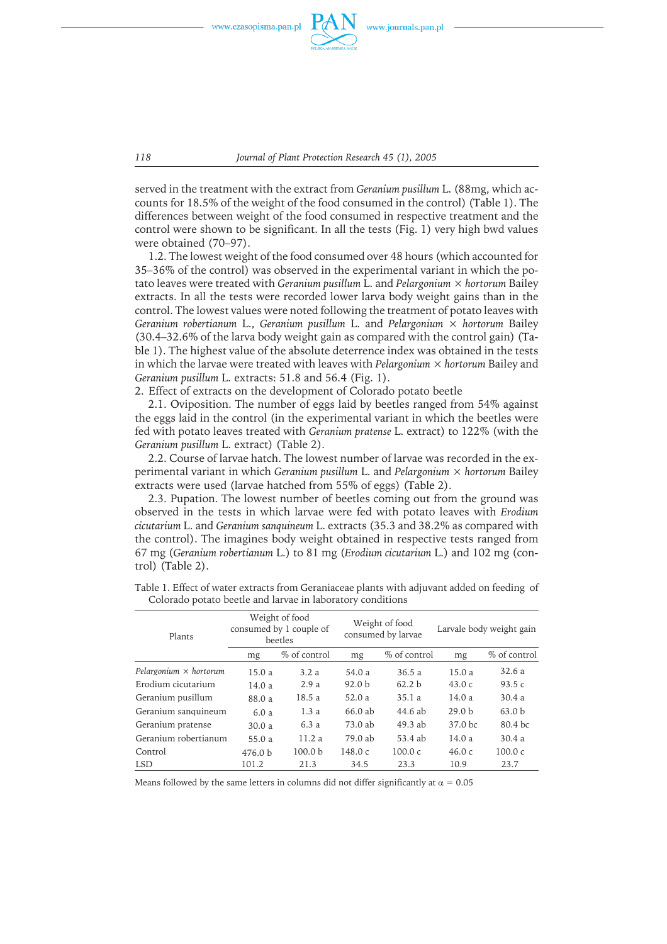

served in the treatment with the extract from *Geranium pusillum* L. (88mg, which accounts for 18.5% of the weight of the food consumed in the control) (Table 1). The differences between weight of the food consumed in respective treatment and the control were shown to be significant. In all the tests (Fig. 1) very high bwd values were obtained (70–97).

1.2. The lowest weight of the food consumed over 48 hours (which accounted for 35–36% of the control) wasobserved in the experimental variant in which the potato leaves were treated with *Geranium pusillum* L. and *Pelargonium × hortorum* Bailey extracts. In all the tests were recorded lower larva body weight gains than in the control. The lowest values were noted following the treatment of potato leaves with *Geranium robertianum* L., *Geranium pusillum* L. and *Pelargonium × hortorum* Bailey (30.4–32.6% of the larva body weight gain ascompared with the control gain) (Table 1). The highest value of the absolute deterrence index was obtained in the tests in which the larvae were treated with leaveswith *Pelargonium × hortorum* Bailey and *Geranium pusillum* L. extracts: 51.8 and 56.4 (Fig. 1).

2. Effect of extracts on the development of Colorado potato beetle

2.1. Oviposition. The number of eggs laid by beetles ranged from 54% against the eggslaid in the control (in the experimental variant in which the beetleswere fed with potato leaves treated with *Geranium pratense* L. extract) to 122% (with the *Geranium pusillum* L. extract) (Table 2).

2.2. Course of larvae hatch. The lowest number of larvae was recorded in the experimental variant in which *Geranium pusillum* L. and *Pelargonium × hortorum* Bailey extracts were used (larvae hatched from 55% of eggs) (Table 2).

2.3. Pupation. The lowest number of beetles coming out from the ground was observed in the tests in which larvae were fed with potato leaves with *Erodium cicutarium* L. and *Geranium sanquineum* L. extracts(35.3 and 38.2% ascompared with the control). The imagines body weight obtained in respective tests ranged from 67 mg (*Geranium robertianum* L.) to 81 mg (*Erodium cicutarium* L.) and 102 mg (control) (Table 2).

| Plants                        | Weight of food<br>consumed by 1 couple of<br>beetles |                    |                   | Weight of food<br>consumed by larvae | Larvale body weight gain |                    |  |
|-------------------------------|------------------------------------------------------|--------------------|-------------------|--------------------------------------|--------------------------|--------------------|--|
|                               | mg                                                   | % of control       | mg                | % of control                         | mg                       | % of control       |  |
| Pelargonium $\times$ hortorum | 15.0a                                                | 3.2a               | 54.0a             | 36.5a                                | 15.0a                    | 32.6a              |  |
| Erodium cicutarium            | 14.0a                                                | 2.9a               | 92.0 <sub>b</sub> | 62.2 <sub>b</sub>                    | 43.0c                    | 93.5 $c$           |  |
| Geranium pusillum             | 88.0 a                                               | 18.5 a             | 52.0a             | 35.1 a                               | 14.0 a                   | 30.4a              |  |
| Geranium sanquineum           | 6.0a                                                 | 1.3a               | 66.0 ab           | 44.6 ab                              | 29.0 <sub>b</sub>        | 63.0 <sub>b</sub>  |  |
| Geranium pratense             | 30.0a                                                | 6.3a               | 73.0 ab           | $49.3$ ab                            | 37.0 <sub>bc</sub>       | 80.4 <sub>bc</sub> |  |
| Geranium robertianum          | 55.0a                                                | 11.2a              | 79.0 ab           | 53.4 ab                              | 14.0a                    | 30.4a              |  |
| Control                       | 476.0 <sub>b</sub>                                   | 100.0 <sub>b</sub> | 148.0c            | 100.0c                               | 46.0c                    | 100.0c             |  |
| <b>LSD</b>                    | 101.2                                                | 21.3               | 34.5              | 23.3                                 | 10.9                     | 23.7               |  |

Table 1. Effect of water extracts from Geraniaceae plants with adjuvant added on feeding of Colorado potato beetle and larvae in laboratory conditions

Means followed by the same letters in columns did not differ significantly at  $\alpha = 0.05$ 

*118 Journal of Plant Protection Research 45 (1), 2005*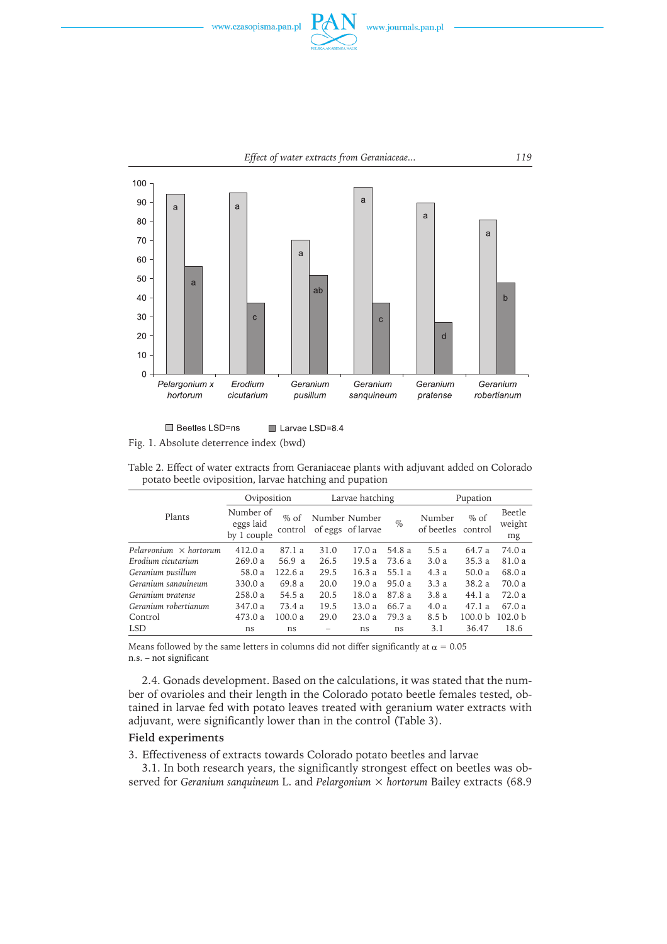





□ Beetles LSD=ns Larvae LSD=8.4 Fig. 1. Absolute deterrence index (bwd)

| potato beetle oviposition, larvae hatching and pupation |                                       |                   |                 |                                    |        |                      |                    |                        |
|---------------------------------------------------------|---------------------------------------|-------------------|-----------------|------------------------------------|--------|----------------------|--------------------|------------------------|
|                                                         | Oviposition                           |                   | Larvae hatching |                                    |        | Pupation             |                    |                        |
| Plants                                                  | Number of<br>eggs laid<br>by 1 couple | $%$ of<br>control |                 | Number Number<br>of eggs of larvae | $\%$   | Number<br>of beetles | $%$ of<br>control  | Beetle<br>weight<br>mg |
| Pelargonium $\times$ hortorum                           | 412.0a                                | 87.1a             | 31.0            | 17.0a                              | 54.8 a | 5.5a                 | 64.7 a             | 74.0a                  |
| Erodium cicutarium                                      | 269.0a                                | 56.9 a            | 26.5            | 19.5a                              | 73.6 a | 3.0a                 | 35.3a              | 81.0a                  |
| Geranium pusillum                                       | 58.0 a                                | 122.6a            | 29.5            | 16.3a                              | 55.1a  | 4.3a                 | 50.0a              | 68.0 a                 |
| Geranium sanguineum                                     | 330.0 a                               | 69.8 a            | 20.0            | 19.0 a                             | 95.0 a | 3.3a                 | 38.2a              | 70.0 a                 |
| Geranium pratense                                       | 258.0a                                | 54.5 a            | 20.5            | 18.0a                              | 87.8 a | 3.8a                 | 44.1a              | 72.0a                  |
| Geranium robertianum                                    | 347.0a                                | 73.4a             | 19.5            | 13.0a                              | 66.7 a | 4.0a                 | 47.1a              | 67.0 a                 |
| Control                                                 | 473.0 a                               | 100.0a            | 29.0            | 23.0a                              | 79.3 a | 8.5 <sub>b</sub>     | 100.0 <sub>b</sub> | 102.0 <sub>b</sub>     |
| <b>LSD</b>                                              | ns                                    | ns                |                 | ns                                 | ns     | 3.1                  | 36.47              | 18.6                   |

Table 2. Effect of water extracts from Geraniaceae plants with adjuvant added on Colorado

Means followed by the same letters in columns did not differ significantly at  $\alpha = 0.05$ n.s. – not significant

2.4. Gonads development. Based on the calculations, it was stated that the number of ovarioles and their length in the Colorado potato beetle females tested, obtained in larvae fed with potato leaves treated with geranium water extracts with adjuvant, were significantly lower than in the control (Table 3).

## **Field experiments**

3. Effectiveness of extracts towards Colorado potato beetles and larvae

3.1. In both research years, the significantly strongest effect on beetles was observed for *Geranium sanquineum* L. and *Pelargonium × hortorum* Bailey extracts(68.9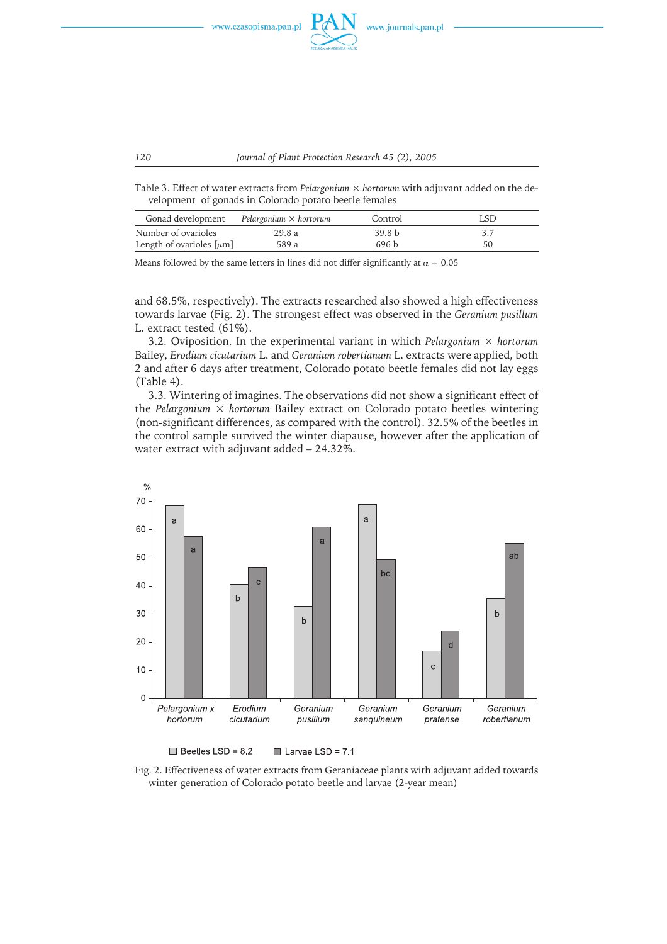

Table 3. Effect of water extracts from *Pelargonium × hortorum* with adjuvant added on the development of gonads in Colorado potato beetle females

| Gonad development             | Pelargonium $\times$ hortorum | Control           | LSD |
|-------------------------------|-------------------------------|-------------------|-----|
| Number of ovarioles           | 29.8a                         | 39.8 <sub>b</sub> |     |
| Length of ovarioles $[\mu m]$ | 589 a                         | 696 h             | 50  |

Means followed by the same letters in lines did not differ significantly at  $\alpha = 0.05$ 

and 68.5%, respectively). The extracts researched also showed a high effectiveness towards larvae (Fig. 2). The strongest effect was observed in the *Geranium pusillum* L. extract tested (61%).

3.2. Oviposition. In the experimental variant in which *Pelargonium × hortorum* Bailey, *Erodium cicutarium* L. and *Geranium robertianum* L. extractswere applied, both 2 and after 6 days after treatment, Colorado potato beetle females did not lay eggs (Table 4).

3.3. Wintering of imagines. The observations did not show a significant effect of the *Pelargonium*  $\times$  *hortorum* Bailey extract on Colorado potato beetles wintering (non-significant differences, as compared with the control). 32.5% of the beetles in the control sample survived the winter diapause, however after the application of water extract with adjuvant added – 24.32%.



 $\Box$  Beetles LSD = 8.2  $\blacksquare$  Larvae LSD = 7.1

Fig. 2. Effectiveness of water extracts from Geraniaceae plants with adjuvant added towards winter generation of Colorado potato beetle and larvae (2-year mean)

*120 Journal of Plant Protection Research 45 (2), 2005*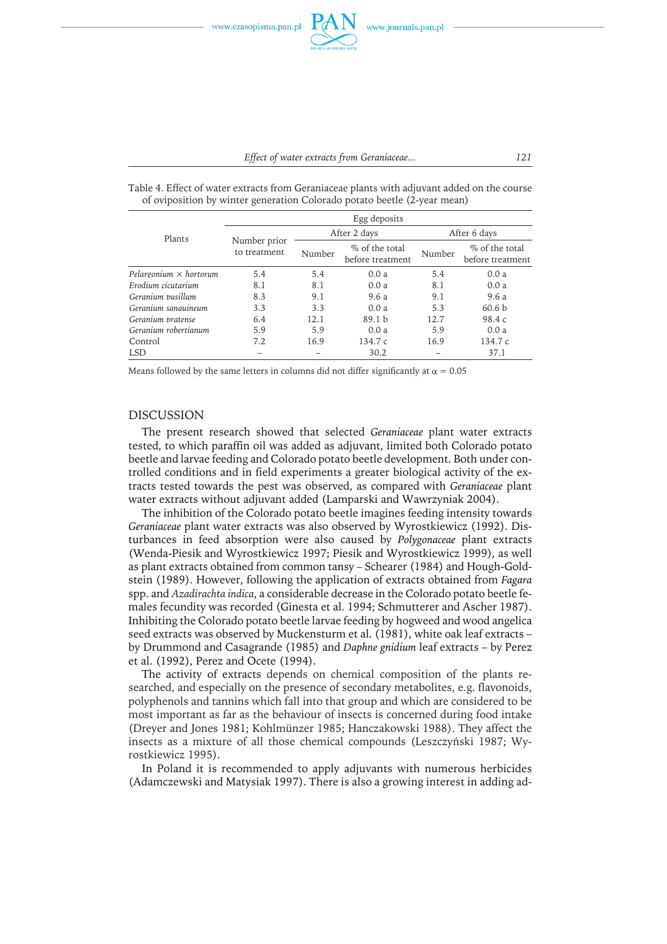| Plants                        | Egg deposits                 |        |                                    |              |                                    |  |  |
|-------------------------------|------------------------------|--------|------------------------------------|--------------|------------------------------------|--|--|
|                               | Number prior<br>to treatment |        | After 2 days                       | After 6 days |                                    |  |  |
|                               |                              | Number | % of the total<br>before treatment | Number       | % of the total<br>before treatment |  |  |
| Pelargonium $\times$ hortorum | 5.4                          | 5.4    | 0.0a                               | 5.4          | 0.0a                               |  |  |
| Erodium cicutarium            | 8.1                          | 8.1    | 0.0a                               | 8.1          | 0.0a                               |  |  |
| Geranium pusillum             | 8.3                          | 9.1    | 9.6 a                              | 9.1          | 9.6 a                              |  |  |
| Geranium sanguineum           | 3.3                          | 3.3    | 0.0a                               | 5.3          | 60.6 <sub>b</sub>                  |  |  |
| Geranium pratense             | 6.4                          | 12.1   | 89.1 <sub>b</sub>                  | 12.7         | 98.4 c                             |  |  |
| Geranium robertianum          | 5.9                          | 5.9    | 0.0a                               | 5.9          | 0.0a                               |  |  |
| Control                       | 7.2                          | 16.9   | 134.7 c                            | 16.9         | 134.7c                             |  |  |

Table 4. Effect of water extracts from Geraniaceae plants with adjuvant added on the course of oviposition by winter generation Colorado potato beetle (2-year mean)

Means followed by the same letters in columns did not differ significantly at  $\alpha = 0.05$ 

LSD – – 30.2 – 37.1

## DISCUSSION

The present research showed that selected *Geraniaceae* plant water extracts tested, to which paraffin oil was added as adjuvant, limited both Colorado potato beetle and larvae feeding and Colorado potato beetle development. Both under controlled conditions and in field experiments a greater biological activity of the extracts tested towards the pest was observed, as compared with *Geraniaceae* plant water extracts without adjuvant added (Lamparski and Wawrzyniak 2004).

The inhibition of the Colorado potato beetle imagines feeding intensity towards *Geraniaceae* plant water extracts was also observed by Wyrostkiewicz (1992). Disturbances in feed absorption were also caused by *Polygonaceae* plant extracts (Wenda-Piesik and Wyrostkiewicz 1997; Piesik and Wyrostkiewicz 1999), as well as plant extracts obtained from common tansy - Schearer (1984) and Hough-Goldstein (1989). However, following the application of extracts obtained from *Fagara* spp. and *Azadirachta indica*, a considerable decrease in the Colorado potato beetle females fecundity was recorded (Ginesta et al. 1994; Schmutterer and Ascher 1987). Inhibiting the Colorado potato beetle larvae feeding by hogweed and wood angelica seed extracts was observed by Muckensturm et al. (1981), white oak leaf extracts – by Drummond and Casagrande (1985) and *Daphne gnidium* leaf extracts– by Perez et al. (1992), Perez and Ocete (1994).

The activity of extracts depends on chemical composition of the plants researched, and especially on the presence of secondary metabolites, e.g. flavonoids, polyphenolsand tanninswhich fall into that group and which are considered to be most important as far as the behaviour of insects is concerned during food intake (Dreyer and Jones1981; Kohlmünzer 1985; Hanczakowski 1988). They affect the insects as a mixture of all those chemical compounds (Leszczyński 1987; Wyrostkiewicz 1995).

In Poland it is recommended to apply adjuvants with numerous herbicides (Adamczewski and Matysiak 1997). There is also a growing interest in adding ad-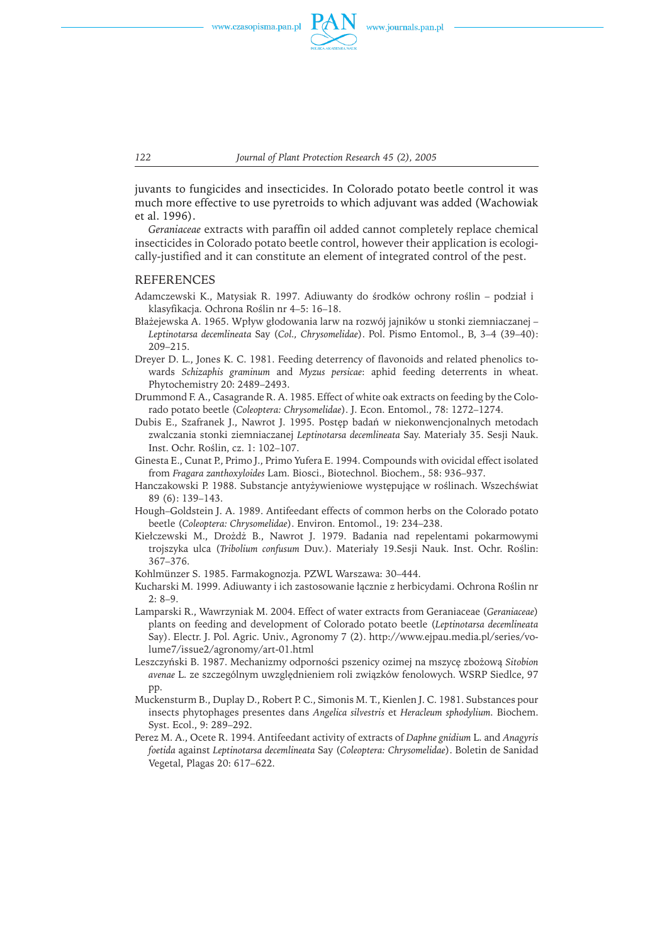

*122 Journal of Plant Protection Research 45 (2), 2005*

juvants to fungicides and insecticides. In Colorado potato beetle control it was much more effective to use pyretroids to which adjuvant was added (Wachowiak et al. 1996).

*Geraniaceae* extractswith paraffin oil added cannot completely replace chemical insecticides in Colorado potato beetle control, however their application is ecologically-justified and it can constitute an element of integrated control of the pest.

### REFERENCES

- Adamczewski K., Matysiak R. 1997. Adiuwanty do środków ochrony roślin podział i klasyfikacja. Ochrona Roślin nr 4–5: 16–18.
- Błażejewska A. 1965. Wpływ głodowania larw na rozwój jajników u stonki ziemniaczanej *Leptinotarsa decemlineata* Say (*Col., Chrysomelidae*). Pol. Pismo Entomol., B, 3–4 (39–40): 209–215.
- Dreyer D. L., Jones K. C. 1981. Feeding deterrency of flavonoids and related phenolics towards *Schizaphis graminum* and *Myzus persicae*: aphid feeding deterrentsin wheat. Phytochemistry 20: 2489–2493.
- Drummond F. A., Casagrande R. A. 1985. Effect of white oak extracts on feeding by the Colorado potato beetle (*Coleoptera: Chrysomelidae*). J. Econ. Entomol., 78: 1272–1274.
- DubisE., Szafranek J., Nawrot J. 1995. Postęp badań w niekonwencjonalnych metodach zwalczania stonki ziemniaczanej *Leptinotarsa decemlineata* Say. Materiały 35. Sesji Nauk. Inst. Ochr. Roślin, cz. 1: 102–107.
- Ginesta E., Cunat P., Primo J., Primo Yufera E. 1994. Compounds with ovicidal effect isolated from *Fragara zanthoxyloides* Lam. Biosci., Biotechnol. Biochem., 58: 936–937.
- Hanczakowski P. 1988. Substancje antyżywieniowe występujące w roślinach. Wszechświat 89 (6): 139–143.
- Hough–Goldstein J. A. 1989. Antifeedant effects of common herbs on the Colorado potato beetle (*Coleoptera: Chrysomelidae*). Environ. Entomol., 19: 234–238.
- Kiełczewski M., Drożdż B., Nawrot J. 1979. Badania nad repelentami pokarmowymi trojszyka ulca (*Tribolium confusum* Duv.). Materiały 19.Sesji Nauk. Inst. Ochr. Roślin: 367–376.
- Kohlmünzer S. 1985. Farmakognozja. PZWL Warszawa: 30–444.
- Kucharski M. 1999. Adiuwanty i ich zastosowanie łącznie z herbicydami. Ochrona Roślin nr 2: 8–9.
- Lamparski R., Wawrzyniak M. 2004. Effect of water extracts from Geraniaceae (*Geraniaceae*) plants on feeding and development of Colorado potato beetle (*Leptinotarsa decemlineata* Say). Electr. J. Pol. Agric. Univ., Agronomy 7 (2). http://www.ejpau.media.pl/series/volume7/issue2/agronomy/art-01.html
- Leszczyński B. 1987. Mechanizmy odporności pszenicy ozimej na mszycę zbożową *Sitobion avenae* L. ze szczególnym uwzględnieniem roli związków fenolowych. WSRP Siedlce, 97 pp.
- Muckensturm B., Duplay D., Robert P. C., Simonis M. T., Kienlen J. C. 1981. Substances pour insects phytophages presentes dans *Angelica silvestris* et *Heracleum sphodylium.* Biochem. Syst. Ecol., 9: 289–292.
- Perez M. A., Ocete R. 1994. Antifeedant activity of extractsof *Daphne gnidium* L. and *Anagyris foetida* against *Leptinotarsa decemlineata* Say (*Coleoptera: Chrysomelidae*). Boletin de Sanidad Vegetal, Plagas 20: 617–622.